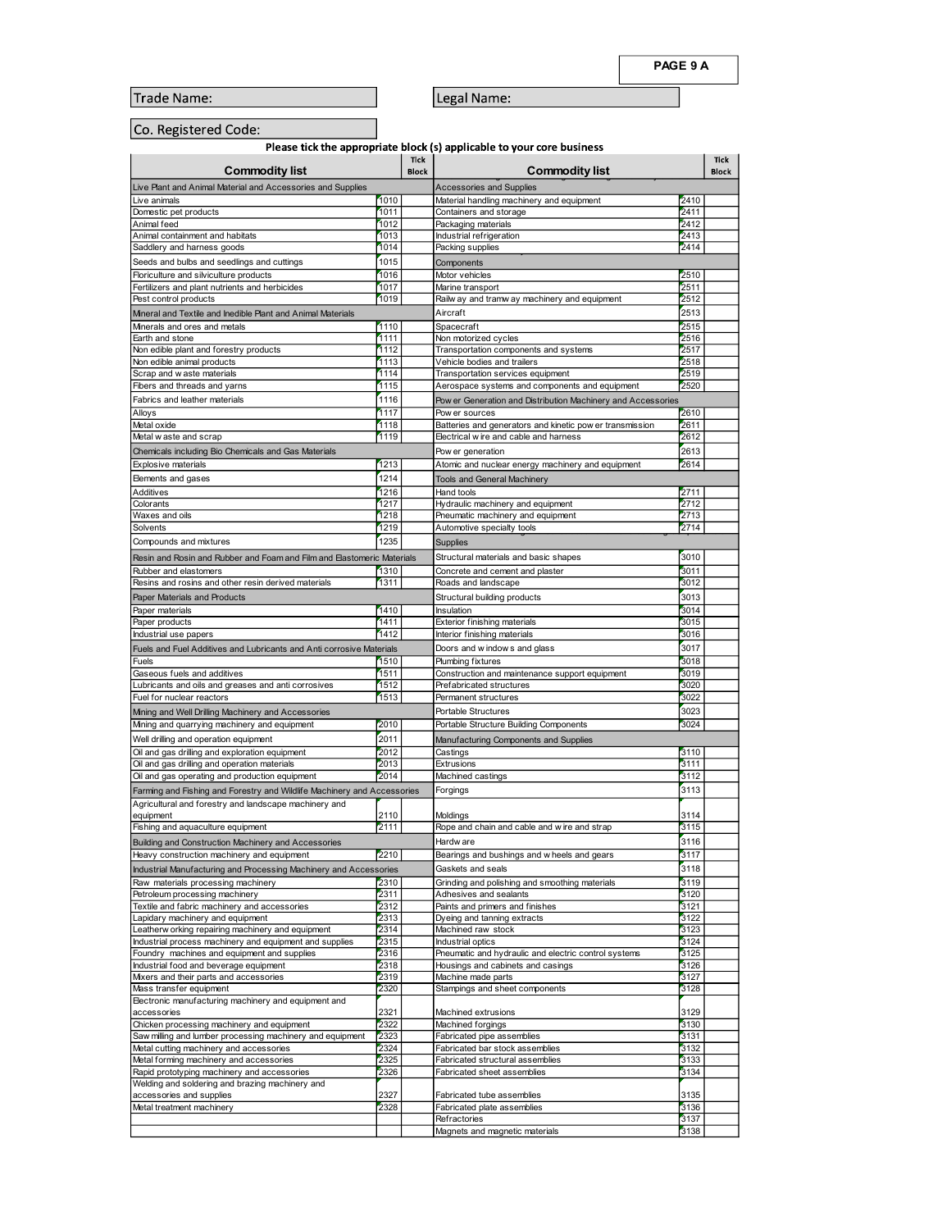| .o. Registered Code: |  |
|----------------------|--|
|----------------------|--|

|                                                                                                                                                        |                      |                              |                                                                                                                    | PAGE 9 A             |
|--------------------------------------------------------------------------------------------------------------------------------------------------------|----------------------|------------------------------|--------------------------------------------------------------------------------------------------------------------|----------------------|
| Trade Name:                                                                                                                                            |                      |                              | Legal Name:                                                                                                        |                      |
| Co. Registered Code:                                                                                                                                   |                      |                              |                                                                                                                    |                      |
|                                                                                                                                                        |                      | Tick                         | Please tick the appropriate block (s) applicable to your core business                                             | Tick                 |
| <b>Commodity list</b><br>Live Plant and Animal Material and Accessories and Supplies                                                                   |                      | <b>Block</b>                 | <b>Commodity list</b><br>Accessories and Supplies                                                                  | <b>Block</b>         |
| Live animals<br>Domestic pet products<br>Animal feed                                                                                                   | 1010<br>1011<br>1012 |                              | Material handling machinery and equipment<br>Containers and storage                                                | 2410<br>2411<br>2412 |
| Animal containment and habitats<br>Saddlery and harness goods                                                                                          | 1013<br>1014         |                              | Packaging materials<br>Industrial refrigeration<br>Packing supplies                                                | 2413<br>2414         |
| Seeds and bulbs and seedlings and cuttings<br>Floriculture and silviculture products                                                                   | 1015<br>1016         | Components<br>Motor vehicles |                                                                                                                    | 2510                 |
| Fertilizers and plant nutrients and herbicides<br>Pest control products                                                                                | 1017<br>1019         |                              | Marine transport<br>Railw ay and tramw ay machinery and equipment                                                  | 2511<br>2512         |
| Mineral and Textile and Inedible Plant and Animal Materials<br>Minerals and ores and metals                                                            | 1110                 | Aircraft<br>Spacecraft       |                                                                                                                    | 2513<br>2515         |
| Earth and stone<br>Non edible plant and forestry products                                                                                              | 1111<br>1112<br>1113 |                              | Non motorized cycles<br>Transportation components and systems                                                      | 2516<br>2517         |
| Non edible animal products<br>Scrap and w aste materials<br>Fibers and threads and yarns                                                               | 1114<br>1115         |                              | Vehicle bodies and trailers<br>Transportation services equipment<br>Aerospace systems and components and equipment | 2518<br>2519<br>2520 |
| Fabrics and leather materials<br>Alloys                                                                                                                | 1116<br>1117         |                              | Pow er Generation and Distribution Machinery and Accessories<br>Pow er sources                                     | 2610                 |
| Metal oxide<br>Metal w aste and scrap                                                                                                                  | 1118<br>1119         |                              | Batteries and generators and kinetic pow er transmission<br>Electrical wire and cable and harness                  | 2611<br>2612         |
| Chemicals including Bio Chemicals and Gas Materials<br>Explosive materials                                                                             | 1213                 |                              | Pow er generation<br>Atomic and nuclear energy machinery and equipment                                             | 2613<br>2614         |
| Elements and gases<br>Additives                                                                                                                        | 1214<br>1216         | Hand tools                   | <b>Tools and General Machinery</b>                                                                                 | 2711                 |
| Colorants<br>Waxes and oils<br>Solvents                                                                                                                | 1217<br>1218<br>1219 |                              | Hydraulic machinery and equipment<br>Pneumatic machinery and equipment<br>Automotive specialty tools               | 2712<br>2713<br>2714 |
| Compounds and mixtures                                                                                                                                 | 1235                 | Supplies                     |                                                                                                                    |                      |
| Resin and Rosin and Rubber and Foam and Film and Elastomeric Materials<br>Rubber and elastomers<br>Resins and rosins and other resin derived materials | 1310<br>1311         |                              | Structural materials and basic shapes<br>Concrete and cement and plaster<br>Roads and landscape                    | 3010<br>3011<br>3012 |
| Paper Materials and Products<br>Paper materials                                                                                                        | 1410                 | Insulation                   | Structural building products                                                                                       | 3013<br>3014         |
| Paper products<br>Industrial use papers                                                                                                                | 1411<br>1412         |                              | Exterior finishing materials<br>Interior finishing materials                                                       | 3015<br>3016         |
| Fuels and Fuel Additives and Lubricants and Anti corrosive Materials<br>Fuels                                                                          | 1510                 |                              | Doors and windows and glass<br>Plumbing fixtures                                                                   | 3017<br>3018         |
| Gaseous fuels and additives<br>Lubricants and oils and greases and anti corrosives                                                                     | 1511<br>1512         |                              | Construction and maintenance support equipment<br>Prefabricated structures                                         | 3019<br>3020         |
| Fuel for nuclear reactors<br>Mining and Well Drilling Machinery and Accessories                                                                        | 1513                 |                              | Permanent structures<br>Portable Structures                                                                        | 3022<br>3023         |
| Mining and quarrying machinery and equipment<br>Well drilling and operation equipment                                                                  | 2010<br>2011         |                              | Portable Structure Building Components<br>Manufacturing Components and Supplies                                    | 3024                 |
| Oil and gas drilling and exploration equipment<br>Oil and gas drilling and operation materials                                                         | 2012<br>2013         | Castings<br>Extrusions       |                                                                                                                    | 3110<br>3111         |
| Oil and gas operating and production equipment<br>Farming and Fishing and Forestry and Wildlife Machinery and Accessories                              | 2014                 | Forgings                     | Machined castings                                                                                                  | 3112<br>3113         |
| Agricultural and forestry and landscape machinery and<br>equipment<br>Fishing and aquaculture equipment                                                | 2110<br>2111         | Moldings                     | Rope and chain and cable and wire and strap                                                                        | 3114<br>3115         |
| Building and Construction Machinery and Accessories<br>Heavy construction machinery and equipment                                                      | 2210                 | Hardw are                    | Bearings and bushings and wheels and gears                                                                         | 3116<br>3117         |
| Industrial Manufacturing and Processing Machinery and Accessories<br>Raw materials processing machinery                                                | 2310                 |                              | Gaskets and seals<br>Grinding and polishing and smoothing materials                                                | 3118<br>3119         |
| Petroleum processing machinery<br>Textile and fabric machinery and accessories                                                                         | 2311<br>2312         |                              | Adhesives and sealants<br>Paints and primers and finishes                                                          | 3120<br>3121         |
| Lapidary machinery and equipment<br>Leatherw orking repairing machinery and equipment                                                                  | 2313<br>2314         |                              | Dyeing and tanning extracts<br>Machined raw stock                                                                  | 3122<br>3123         |
| Industrial process machinery and equipment and supplies<br>Foundry machines and equipment and supplies<br>Industrial food and beverage equipment       | 2315<br>2316<br>2318 |                              | Industrial optics<br>Pneumatic and hydraulic and electric control systems<br>Housings and cabinets and casings     | 3124<br>3125<br>3126 |
| Mixers and their parts and accessories<br>Mass transfer equipment                                                                                      | 2319<br>2320         |                              | Machine made parts<br>Stampings and sheet components                                                               | 3127<br>3128         |
| Electronic manufacturing machinery and equipment and<br>accessories                                                                                    | 2321                 |                              | Machined extrusions                                                                                                | 3129                 |
| Chicken processing machinery and equipment<br>Saw milling and lumber processing machinery and equipment                                                | 2322<br>2323<br>2324 |                              | Machined forgings<br>Fabricated pipe assemblies<br>Fabricated bar stock assemblies                                 | 3130<br>3131<br>3132 |
| Metal cutting machinery and accessories<br>Metal forming machinery and accessories<br>Rapid prototyping machinery and accessories                      | 2325<br>2326         |                              | Fabricated structural assemblies<br>Fabricated sheet assemblies                                                    | 3133<br>3134         |
| Welding and soldering and brazing machinery and<br>accessories and supplies                                                                            | 2327                 |                              | Fabricated tube assemblies                                                                                         | 3135                 |
| Metal treatment machinery                                                                                                                              | 2328                 | Refractories                 | Fabricated plate assemblies                                                                                        | 3136<br>3137         |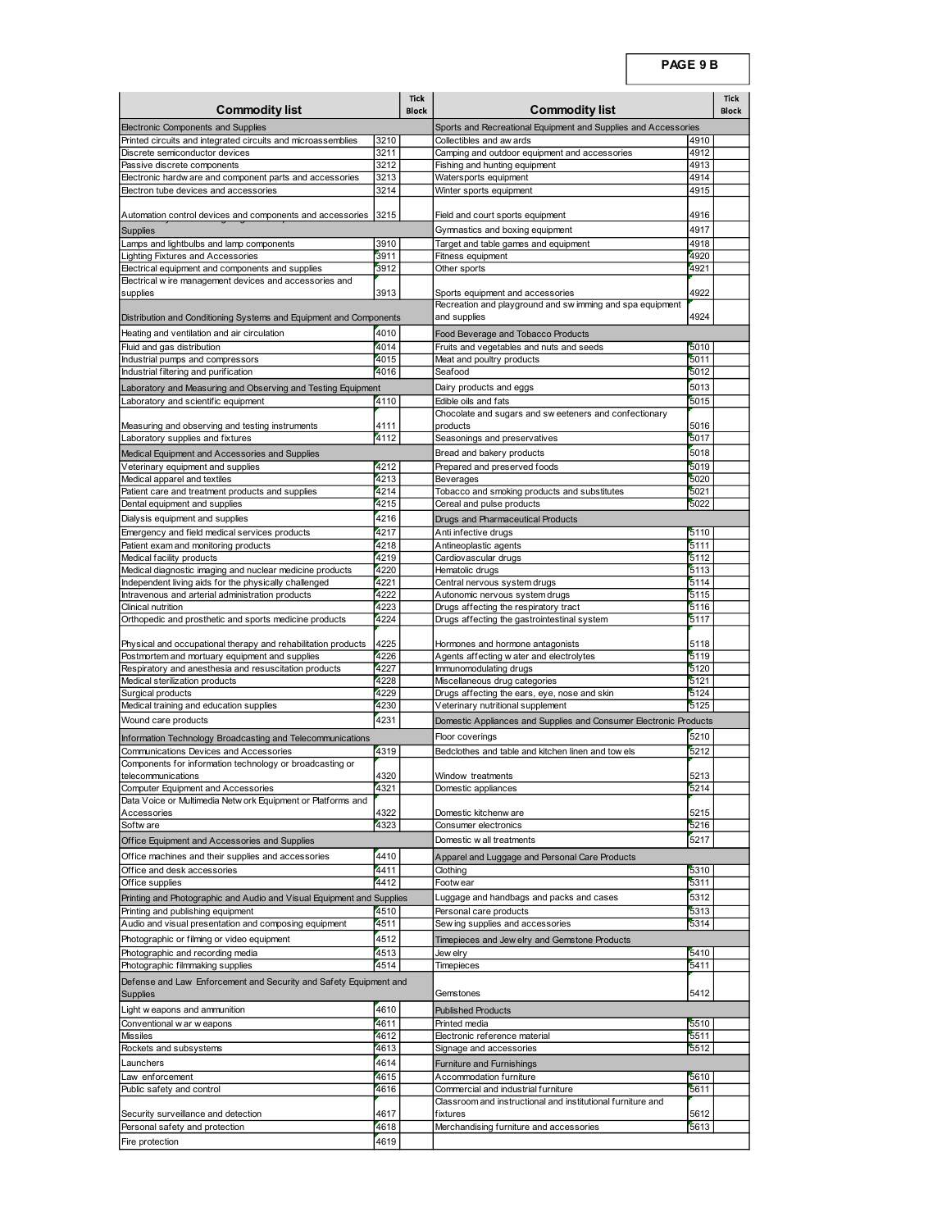|                                                                                                                   |              |                      |                                                                                                    | PAGE 9 B     |                             |
|-------------------------------------------------------------------------------------------------------------------|--------------|----------------------|----------------------------------------------------------------------------------------------------|--------------|-----------------------------|
| <b>Commodity list</b>                                                                                             |              | Tick<br><b>Block</b> | <b>Commodity list</b>                                                                              |              | <b>Tick</b><br><b>Block</b> |
| Electronic Components and Supplies                                                                                |              |                      | Sports and Recreational Equipment and Supplies and Accessories                                     |              |                             |
| Printed circuits and integrated circuits and microassemblies<br>Discrete semiconductor devices                    | 3210<br>3211 |                      | Collectibles and aw ards<br>Camping and outdoor equipment and accessories                          | 4910<br>4912 |                             |
| Passive discrete components<br>Electronic hardw are and component parts and accessories                           | 3212<br>3213 |                      | Fishing and hunting equipment<br>Watersports equipment                                             | 4913<br>4914 |                             |
| Electron tube devices and accessories                                                                             | 3214         |                      | Winter sports equipment                                                                            | 4915         |                             |
| Automation control devices and components and accessories 3215                                                    |              |                      | Field and court sports equipment                                                                   | 4916         |                             |
| Supplies<br>Lamps and lightbulbs and lamp components                                                              | 3910         |                      | Gymnastics and boxing equipment<br>Target and table games and equipment                            | 4917<br>4918 |                             |
| Lighting Fixtures and Accessories<br>Electrical equipment and components and supplies                             | 3911<br>3912 |                      | Fitness equipment<br>Other sports                                                                  | 4920<br>4921 |                             |
| Electrical wire management devices and accessories and                                                            | 3913         |                      |                                                                                                    | 4922         |                             |
| supplies                                                                                                          |              |                      | Sports equipment and accessories<br>Recreation and playground and sw imming and spa equipment      | 4924         |                             |
| Distribution and Conditioning Systems and Equipment and Components<br>Heating and ventilation and air circulation | 4010         |                      | and supplies<br>Food Beverage and Tobacco Products                                                 |              |                             |
| Fluid and gas distribution<br>Industrial pumps and compressors                                                    | 4014<br>4015 |                      | Fruits and vegetables and nuts and seeds<br>Meat and poultry products                              | 5010<br>5011 |                             |
| Industrial filtering and purification                                                                             | 4016         |                      | Seafood                                                                                            | 5012<br>5013 |                             |
| Laboratory and Measuring and Observing and Testing Equipment<br>Laboratory and scientific equipment               | 4110         |                      | Dairy products and eggs<br>Edible oils and fats                                                    | 5015         |                             |
| Measuring and observing and testing instruments                                                                   | 4111         |                      | Chocolate and sugars and sweeteners and confectionary<br>products                                  | 5016         |                             |
| Laboratory supplies and fixtures<br>Medical Equipment and Accessories and Supplies                                | 4112         |                      | Seasonings and preservatives<br>Bread and bakery products                                          | 5017<br>5018 |                             |
| Veterinary equipment and supplies<br>Medical apparel and textiles                                                 | 4212<br>4213 |                      | Prepared and preserved foods<br>Beverages                                                          | 5019<br>5020 |                             |
| Patient care and treatment products and supplies<br>Dental equipment and supplies                                 | 4214<br>4215 |                      | Tobacco and smoking products and substitutes<br>Cereal and pulse products                          | 5021<br>5022 |                             |
| Dialysis equipment and supplies                                                                                   | 4216         |                      | Drugs and Pharmaceutical Products                                                                  |              |                             |
| Emergency and field medical services products<br>Patient exam and monitoring products                             | 4217<br>4218 |                      | Anti infective drugs<br>Antineoplastic agents                                                      | 5110<br>5111 |                             |
| Medical facility products<br>Medical diagnostic imaging and nuclear medicine products                             | 4219<br>4220 |                      | Cardiovascular drugs<br>Hematolic drugs                                                            | 5112<br>5113 |                             |
| Independent living aids for the physically challenged                                                             | 4221         |                      | Central nervous system drugs                                                                       | 5114         |                             |
| Intravenous and arterial administration products<br>Clinical nutrition                                            | 4222<br>4223 |                      | Autonomic nervous system drugs<br>Drugs affecting the respiratory tract                            | 5115<br>5116 |                             |
| Orthopedic and prosthetic and sports medicine products                                                            | 4224         |                      | Drugs affecting the gastrointestinal system                                                        | 5117         |                             |
| Physical and occupational therapy and rehabilitation products<br>Postmortem and mortuary equipment and supplies   | 4225<br>4226 |                      | Hormones and hormone antagonists<br>Agents affecting water and electrolytes                        | 5118<br>5119 |                             |
| Respiratory and anesthesia and resuscitation products<br>Medical sterilization products                           | 4227<br>4228 |                      | Immunomodulating drugs<br>Miscellaneous drug categories                                            | 5120<br>5121 |                             |
| Surgical products<br>Medical training and education supplies                                                      | 4229<br>4230 |                      | Drugs affecting the ears, eye, nose and skin<br>Veterinary nutritional supplement                  | 5124<br>5125 |                             |
| Wound care products                                                                                               | 4231         |                      | Domestic Appliances and Supplies and Consumer Electronic Products                                  |              |                             |
| Information Technology Broadcasting and Telecommunications<br>Communications Devices and Accessories              | 4319         |                      | Floor coverings<br>Bedclothes and table and kitchen linen and tow els                              | 5210<br>5212 |                             |
| Components for information technology or broadcasting or<br>telecommunications                                    | 4320         |                      | Window treatments                                                                                  | 5213         |                             |
| Computer Equipment and Accessories<br>Data Voice or Multimedia Netw ork Equipment or Platforms and                | 4321         |                      | Domestic appliances                                                                                | 5214         |                             |
| Accessories<br>Softw are                                                                                          | 4322<br>4323 |                      | Domestic kitchenw are<br>Consumer electronics                                                      | 5215<br>5216 |                             |
| Office Equipment and Accessories and Supplies                                                                     |              |                      | Domestic w all treatments                                                                          | 5217         |                             |
| Office machines and their supplies and accessories<br>Office and desk accessories                                 | 4410<br>4411 |                      | Apparel and Luggage and Personal Care Products<br>Clothing                                         | 5310         |                             |
| Office supplies                                                                                                   | 4412         |                      | Footw ear                                                                                          | 5311         |                             |
| Printing and Photographic and Audio and Visual Equipment and Supplies<br>Printing and publishing equipment        | 4510         |                      | Luggage and handbags and packs and cases<br>Personal care products                                 | 5312<br>5313 |                             |
| Audio and visual presentation and composing equipment<br>Photographic or filming or video equipment               | 4511<br>4512 |                      | Sew ing supplies and accessories<br>Timepieces and Jew elry and Gemstone Products                  | 5314         |                             |
| Photographic and recording media                                                                                  | 4513<br>4514 |                      | Jew elry                                                                                           | 5410<br>5411 |                             |
| Photographic filmmaking supplies<br>Defense and Law Enforcement and Security and Safety Equipment and             |              |                      | Timepieces                                                                                         |              |                             |
| Supplies<br>Light w eapons and ammunition                                                                         | 4610         |                      | Gemstones<br><b>Published Products</b>                                                             | 5412         |                             |
| Conventional w ar w eapons                                                                                        | 4611         |                      | Printed media                                                                                      | 5510         |                             |
| <b>Missiles</b><br>Rockets and subsystems                                                                         | 4612<br>4613 |                      | Electronic reference material<br>Signage and accessories                                           | 5511<br>5512 |                             |
| Launchers<br>Law enforcement                                                                                      | 4614<br>4615 |                      | Furniture and Furnishings<br>Accommodation furniture                                               | 5610         |                             |
| Public safety and control                                                                                         | 4616         |                      | Commercial and industrial furniture<br>Classroom and instructional and institutional furniture and | 5611         |                             |
|                                                                                                                   | 4617         |                      | fixtures                                                                                           | 5612<br>5613 |                             |
| Security surveillance and detection<br>Personal safety and protection                                             | 4618         |                      | Merchandising furniture and accessories                                                            |              |                             |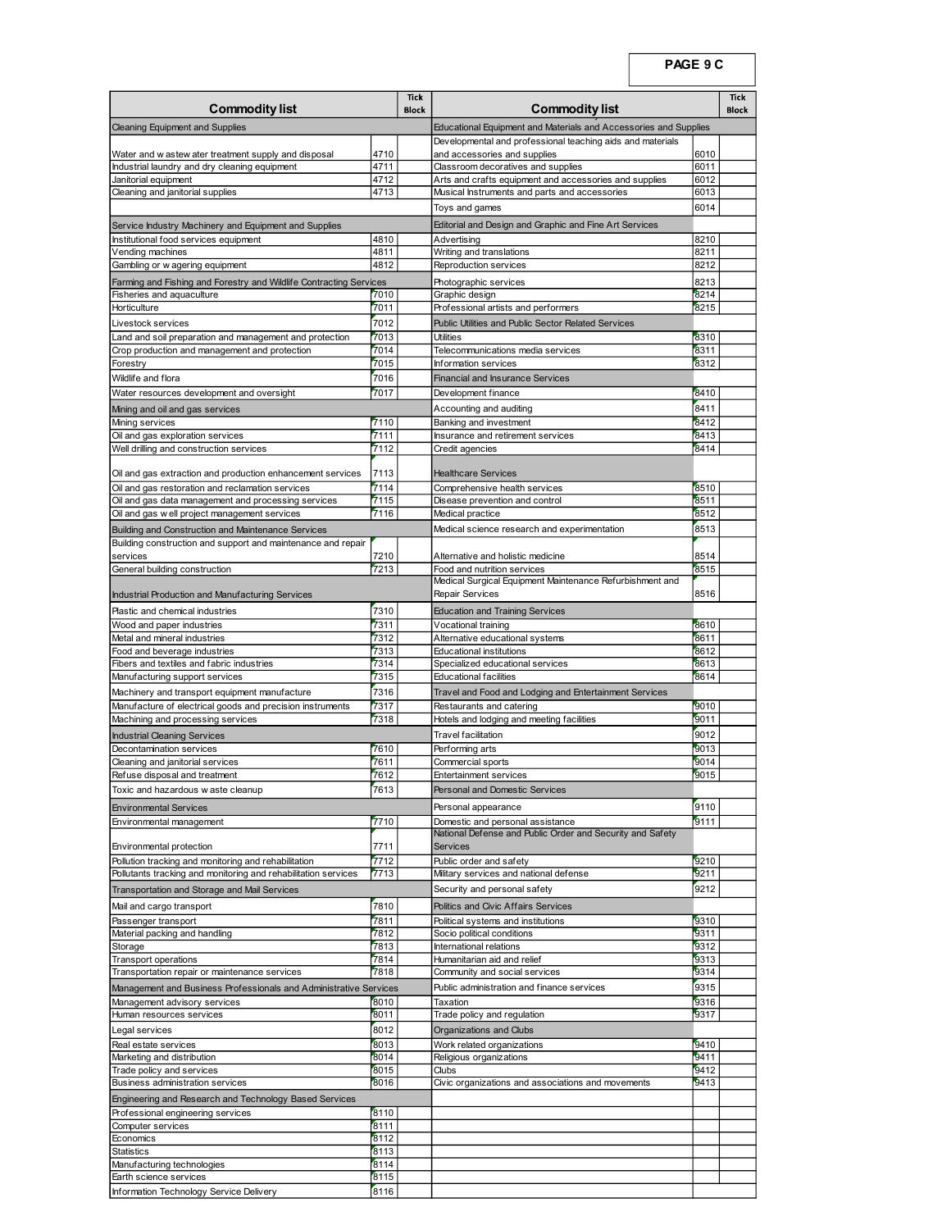|                                                                                                                    |              | Tick         |                                                                                               | PAGE 9 C     | Tick  |
|--------------------------------------------------------------------------------------------------------------------|--------------|--------------|-----------------------------------------------------------------------------------------------|--------------|-------|
| <b>Commodity list</b><br><b>Cleaning Equipment and Supplies</b>                                                    |              | <b>Block</b> | <b>Commodity list</b><br>Educational Equipment and Materials and Accessories and Supplies     |              | Block |
| Water and w astew ater treatment supply and disposal                                                               | 4710         |              | Developmental and professional teaching aids and materials<br>and accessories and supplies    | 6010         |       |
| Industrial laundry and dry cleaning equipment<br>Janitorial equipment                                              | 4711<br>4712 |              | Classroom decoratives and supplies<br>Arts and crafts equipment and accessories and supplies  | 6011<br>6012 |       |
| Cleaning and janitorial supplies                                                                                   | 4713         |              | Musical Instruments and parts and accessories<br>Toys and games                               | 6013<br>6014 |       |
| Service Industry Machinery and Equipment and Supplies<br>Institutional food services equipment                     | 4810         |              | Editorial and Design and Graphic and Fine Art Services<br>Advertising                         | 8210         |       |
| Vending machines<br>Gambling or w agering equipment                                                                | 4811<br>4812 |              | Writing and translations<br>Reproduction services                                             | 8211<br>8212 |       |
| Farming and Fishing and Forestry and Wildlife Contracting Services<br>Fisheries and aquaculture                    | 7010         |              | Photographic services<br>Graphic design                                                       | 8213<br>8214 |       |
| Horticulture<br>Livestock services                                                                                 | 7011<br>7012 |              | Professional artists and performers<br>Public Utilities and Public Sector Related Services    | 8215         |       |
| Land and soil preparation and management and protection<br>Crop production and management and protection           | 7013<br>7014 |              | Utilities<br>Telecommunications media services                                                | 8310<br>8311 |       |
| Forestry<br>Wildlife and flora                                                                                     | 7015<br>7016 |              | Information services<br><b>Financial and Insurance Services</b>                               | 8312         |       |
| Water resources development and oversight                                                                          | 7017         |              | Development finance                                                                           | 8410<br>8411 |       |
| Mining and oil and gas services<br>Mining services<br>Oil and gas exploration services                             | 7110         |              | Accounting and auditing<br>Banking and investment                                             | 8412         |       |
| Well drilling and construction services                                                                            | 7111<br>7112 |              | Insurance and retirement services<br>Credit agencies                                          | 8413<br>8414 |       |
| Oil and gas extraction and production enhancement services<br>Oil and gas restoration and reclamation services     | 7113<br>7114 |              | <b>Healthcare Services</b><br>Comprehensive health services                                   | 8510         |       |
| Oil and gas data management and processing services<br>Oil and gas w ell project management services               | 7115<br>7116 |              | Disease prevention and control<br>Medical practice                                            | 8511<br>8512 |       |
| Building and Construction and Maintenance Services<br>Building construction and support and maintenance and repair |              |              | Medical science research and experimentation                                                  | 8513         |       |
| services<br>General building construction                                                                          | 7210<br>7213 |              | Alternative and holistic medicine<br>Food and nutrition services                              | 8514<br>8515 |       |
| Industrial Production and Manufacturing Services                                                                   |              |              | Medical Surgical Equipment Maintenance Refurbishment and<br>Repair Services                   | 8516         |       |
| Plastic and chemical industries<br>Wood and paper industries                                                       | 7310<br>7311 |              | <b>Education and Training Services</b><br>Vocational training                                 | 8610         |       |
| Metal and mineral industries<br>Food and beverage industries                                                       | 7312<br>7313 |              | Alternative educational systems<br>Educational institutions                                   | 8611<br>8612 |       |
| Fibers and textiles and fabric industries<br>Manufacturing support services                                        | 7314<br>7315 |              | Specialized educational services<br><b>Educational facilities</b>                             | 8613<br>8614 |       |
| Machinery and transport equipment manufacture<br>Manufacture of electrical goods and precision instruments         | 7316<br>7317 |              | Travel and Food and Lodging and Entertainment Services<br>Restaurants and catering            | 9010         |       |
| Machining and processing services<br><b>Industrial Cleaning Services</b>                                           | 7318         |              | Hotels and lodging and meeting facilities<br>Travel facilitation                              | 9011<br>9012 |       |
| Decontamination services<br>Cleaning and janitorial services                                                       | 7610<br>7611 |              | Performing arts<br>Commercial sports                                                          | 9013<br>9014 |       |
| Refuse disposal and treatment<br>Toxic and hazardous w aste cleanup                                                | 7612<br>7613 |              | <b>Entertainment services</b><br>Personal and Domestic Services                               | 9015         |       |
| <b>Environmental Services</b>                                                                                      |              |              | Personal appearance                                                                           | 9110         |       |
| Environmental management                                                                                           | 7710         |              | Domestic and personal assistance<br>National Defense and Public Order and Security and Safety | 9111         |       |
| Environmental protection<br>Pollution tracking and monitoring and rehabilitation                                   | 7711<br>7712 |              | Services<br>Public order and safety                                                           | 9210         |       |
| Pollutants tracking and monitoring and rehabilitation services<br>Transportation and Storage and Mail Services     | 7713         |              | Military services and national defense<br>Security and personal safety                        | 9211<br>9212 |       |
| Mail and cargo transport<br>Passenger transport                                                                    | 7810<br>7811 |              | Politics and Civic Affairs Services<br>Political systems and institutions                     | 9310         |       |
| Material packing and handling<br>Storage                                                                           | 7812<br>7813 |              | Socio political conditions<br>International relations                                         | 9311<br>9312 |       |
| Transport operations<br>Transportation repair or maintenance services                                              | 7814<br>7818 |              | Humanitarian aid and relief<br>Community and social services                                  | 9313<br>9314 |       |
| Management and Business Professionals and Administrative Services<br>Management advisory services                  | 8010         |              | Public administration and finance services<br>Taxation                                        | 9315<br>9316 |       |
| Human resources services<br>Legal services                                                                         | 8011<br>8012 |              | Trade policy and regulation<br>Organizations and Clubs                                        | 9317         |       |
| Real estate services<br>Marketing and distribution                                                                 | 8013<br>8014 |              | Work related organizations<br>Religious organizations                                         | 9410<br>9411 |       |
| Trade policy and services<br>Business administration services                                                      | 8015<br>8016 |              | Clubs<br>Civic organizations and associations and movements                                   | 9412<br>9413 |       |
| Engineering and Research and Technology Based Services<br>Professional engineering services                        | 8110         |              |                                                                                               |              |       |
| Computer services<br>Economics                                                                                     | 8111<br>8112 |              |                                                                                               |              |       |
| <b>Statistics</b><br>Manufacturing technologies                                                                    | 8113<br>8114 |              |                                                                                               |              |       |
|                                                                                                                    | 8115         |              |                                                                                               |              |       |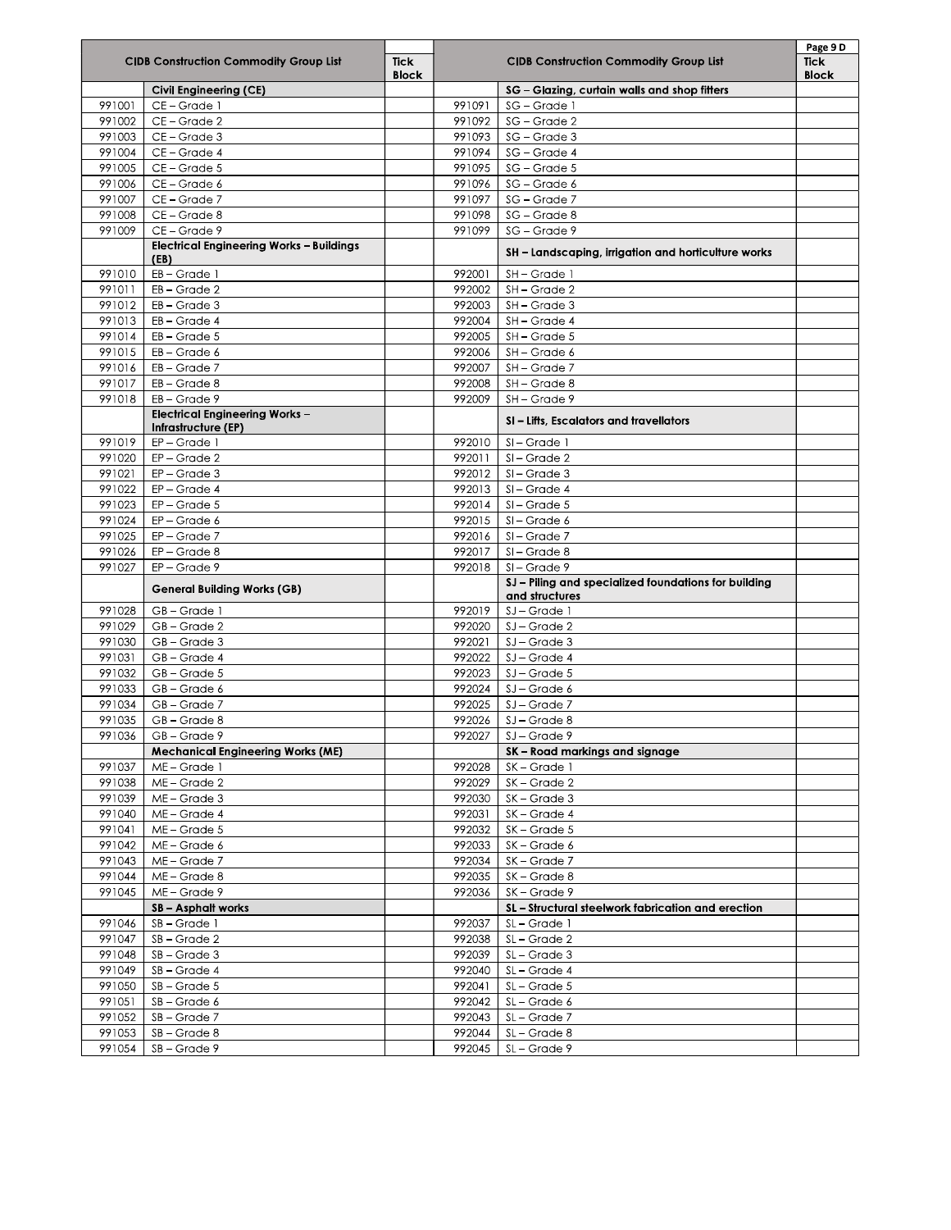|                  | <b>CIDB Construction Commodity Group List</b>                 | <b>Tick</b><br><b>Block</b> |                  | <b>CIDB Construction Commodity Group List</b>                          | Page 9D<br><b>Tick</b><br><b>Block</b> |
|------------------|---------------------------------------------------------------|-----------------------------|------------------|------------------------------------------------------------------------|----------------------------------------|
|                  | Civil Engineering (CE)                                        |                             |                  | SG - Glazing, curtain walls and shop fitters                           |                                        |
| 991001           | CE-Grade 1                                                    |                             | 991091           | SG - Grade 1                                                           |                                        |
| 991002           | CE-Grade 2                                                    |                             | 991092           | SG - Grade 2                                                           |                                        |
| 991003           | CE-Grade 3                                                    |                             | 991093           | SG - Grade 3                                                           |                                        |
| 991004           | CE-Grade 4                                                    |                             | 991094           | SG - Grade 4                                                           |                                        |
| 991005           | CE-Grade 5                                                    |                             | 991095           | SG - Grade 5                                                           |                                        |
| 991006           | CE-Grade 6                                                    |                             | 991096           | SG - Grade 6                                                           |                                        |
| 991007           | CE-Grade 7                                                    |                             | 991097           | SG - Grade 7                                                           |                                        |
| 991008           | CE-Grade 8                                                    |                             | 991098           | SG - Grade 8                                                           |                                        |
| 991009           | CE-Grade 9<br><b>Electrical Engineering Works - Buildings</b> |                             | 991099           | SG - Grade 9                                                           |                                        |
|                  | (EB)                                                          |                             |                  | SH - Landscaping, irrigation and horticulture works                    |                                        |
| 991010           | EB-Grade 1                                                    |                             | 992001           | SH-Grade 1                                                             |                                        |
| 991011           | $EB - Grade 2$                                                |                             | 992002           | SH-Grade 2                                                             |                                        |
| 991012           | $EB - Grade 3$                                                |                             | 992003           | SH-Grade 3                                                             |                                        |
| 991013           | EB-Grade 4                                                    |                             | 992004           | SH-Grade 4                                                             |                                        |
| 991014           | EB-Grade 5                                                    |                             | 992005           | SH-Grade 5                                                             |                                        |
| 991015           | $EB - Grade 6$                                                |                             | 992006           | SH-Grade 6                                                             |                                        |
| 991016<br>991017 | $EB - Grade 7$<br>$EB - Grade 8$                              |                             | 992007<br>992008 | SH-Grade 7                                                             |                                        |
| 991018           | $EB - Grade 9$                                                |                             | 992009           | SH - Grade 8<br>SH-Grade 9                                             |                                        |
|                  | <b>Electrical Engineering Works -</b>                         |                             |                  | SI - Lifts, Escalators and travellators                                |                                        |
| 991019           | Infrastructure (EP)<br>EP-Grade 1                             |                             | 992010           | SI-Grade 1                                                             |                                        |
| 991020           | $EP - Grade 2$                                                |                             | 992011           | $SI - Grade 2$                                                         |                                        |
| 991021           | $EP - Grade 3$                                                |                             | 992012           | $\overline{SI}$ – Grade 3                                              |                                        |
| 991022           | EP-Grade 4                                                    |                             | 992013           | SI-Grade 4                                                             |                                        |
| 991023           | $EP - Grade 5$                                                |                             | 992014           | $SI - Grade 5$                                                         |                                        |
| 991024           | EP-Grade 6                                                    |                             | 992015           | $SI - Grade 6$                                                         |                                        |
| 991025           | EP-Grade 7                                                    |                             | 992016           | SI-Grade 7                                                             |                                        |
| 991026           | $EP - Grade 8$                                                |                             | 992017           | $SI - Grade 8$                                                         |                                        |
| 991027           | $EP - Grade 9$                                                |                             | 992018           | $SI - Grade 9$                                                         |                                        |
|                  | <b>General Building Works (GB)</b>                            |                             |                  | SJ - Piling and specialized foundations for building<br>and structures |                                        |
| 991028           | GB-Grade 1                                                    |                             | 992019           | SJ - Grade 1                                                           |                                        |
| 991029           | GB-Grade 2                                                    |                             | 992020           | SJ-Grade 2                                                             |                                        |
| 991030           | GB-Grade 3                                                    |                             | 992021           | $\overline{S}$ J – Grade 3                                             |                                        |
| 991031           | GB-Grade 4                                                    |                             | 992022           | SJ-Grade 4                                                             |                                        |
| 991032           | GB-Grade 5                                                    |                             | 992023           | $SI - Grade 5$                                                         |                                        |
| 991033           | GB-Grade 6                                                    |                             | 992024           | SJ-Grade 6                                                             |                                        |
| 991034           | GB-Grade 7                                                    |                             | 992025           | SJ-Grade 7                                                             |                                        |
| 991035           | GB-Grade 8                                                    |                             | 992026           | SJ - Grade 8                                                           |                                        |
| 991036           | GB-Grade 9                                                    |                             | 992027           | SJ - Grade 9<br>SK - Road markings and signage                         |                                        |
| 991037           | <b>Mechanical Engineering Works (ME)</b><br>ME-Grade 1        |                             | 992028           | SK-Grade 1                                                             |                                        |
| 991038           | ME-Grade 2                                                    |                             | 992029           | $K -$ Grade 2                                                          |                                        |
| 991039           | ME-Grade 3                                                    |                             | 992030           | SK-Grade 3                                                             |                                        |
| 991040           | ME-Grade 4                                                    |                             | 992031           | SK-Grade 4                                                             |                                        |
| 991041           | ME-Grade 5                                                    |                             | 992032           | $\overline{SK}$ – Grade 5                                              |                                        |
| 991042           | ME-Grade 6                                                    |                             | 992033           | SK-Grade 6                                                             |                                        |
| 991043           | ME-Grade 7                                                    |                             | 992034           | SK-Grade 7                                                             |                                        |
| 991044           | ME-Grade 8                                                    |                             | 992035           | SK-Grade 8                                                             |                                        |
| 991045           | ME-Grade 9                                                    |                             | 992036           | SK-Grade 9                                                             |                                        |
|                  | SB - Asphalt works                                            |                             |                  | SL - Structural steelwork fabrication and erection                     |                                        |
| 991046           | SB-Grade 1                                                    |                             | 992037           | SL-Grade 1                                                             |                                        |
| 991047           | SB-Grade 2                                                    |                             | 992038           | SL-Grade 2                                                             |                                        |
| 991048           | SB-Grade 3                                                    |                             | 992039           | SL-Grade 3                                                             |                                        |
| 991049           | SB - Grade 4                                                  |                             | 992040           | SL-Grade 4                                                             |                                        |
| 991050           | $SB - Grade 5$                                                |                             | 992041           | SL-Grade 5                                                             |                                        |
| 991051           | SB-Grade 6                                                    |                             | 992042           | SL-Grade 6                                                             |                                        |
| 991052           | SB - Grade 7                                                  |                             | 992043           | SL - Grade 7                                                           |                                        |
| 991053           | SB - Grade 8                                                  |                             | 992044           | SL-Grade 8                                                             |                                        |
| 991054           | SB-Grade 9                                                    |                             | 992045           | SL-Grade 9                                                             |                                        |